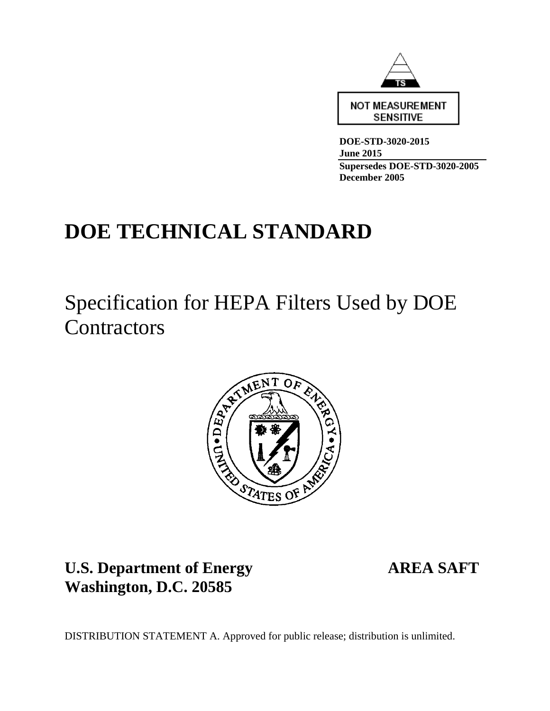

**DOE-STD-3020-2015 June 2015 Supersedes DOE-STD-3020-2005 December 2005**

# **DOE TECHNICAL STANDARD**

Specification for HEPA Filters Used by DOE **Contractors** 



**U.S. Department of Energy AREA SAFT Washington, D.C. 20585** 

DISTRIBUTION STATEMENT A. Approved for public release; distribution is unlimited.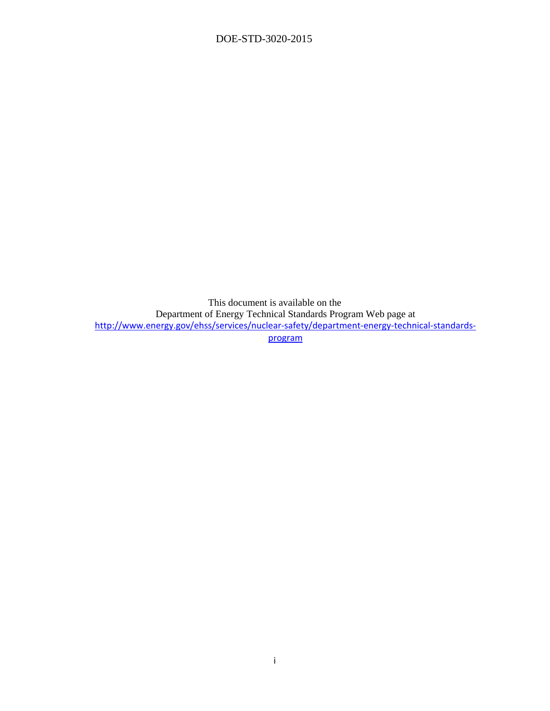This document is available on the Department of Energy Technical Standards Program Web page at http://www.energy.gov/ehss/services/nuclear-safety/department-energy-technical-standardsprogram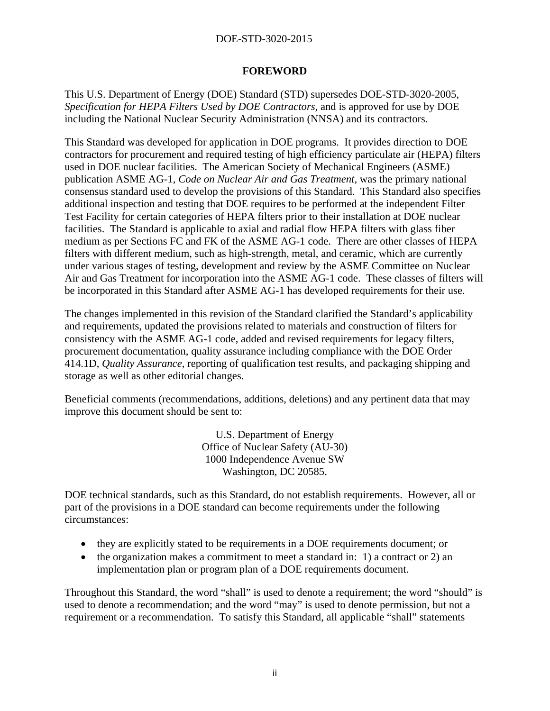#### **FOREWORD**

This U.S. Department of Energy (DOE) Standard (STD) supersedes DOE-STD-3020-2005, *Specification for HEPA Filters Used by DOE Contractors,* and is approved for use by DOE including the National Nuclear Security Administration (NNSA) and its contractors.

This Standard was developed for application in DOE programs. It provides direction to DOE contractors for procurement and required testing of high efficiency particulate air (HEPA) filters used in DOE nuclear facilities. The American Society of Mechanical Engineers (ASME) publication ASME AG-1, *Code on Nuclear Air and Gas Treatment,* was the primary national consensus standard used to develop the provisions of this Standard. This Standard also specifies additional inspection and testing that DOE requires to be performed at the independent Filter Test Facility for certain categories of HEPA filters prior to their installation at DOE nuclear facilities. The Standard is applicable to axial and radial flow HEPA filters with glass fiber medium as per Sections FC and FK of the ASME AG-1 code. There are other classes of HEPA filters with different medium, such as high-strength, metal, and ceramic, which are currently under various stages of testing, development and review by the ASME Committee on Nuclear Air and Gas Treatment for incorporation into the ASME AG-1 code. These classes of filters will be incorporated in this Standard after ASME AG-1 has developed requirements for their use.

The changes implemented in this revision of the Standard clarified the Standard's applicability and requirements, updated the provisions related to materials and construction of filters for consistency with the ASME AG-1 code, added and revised requirements for legacy filters, procurement documentation, quality assurance including compliance with the DOE Order 414.1D, *Quality Assurance*, reporting of qualification test results, and packaging shipping and storage as well as other editorial changes.

Beneficial comments (recommendations, additions, deletions) and any pertinent data that may improve this document should be sent to:

> U.S. Department of Energy Office of Nuclear Safety (AU-30) 1000 Independence Avenue SW Washington, DC 20585.

DOE technical standards, such as this Standard, do not establish requirements. However, all or part of the provisions in a DOE standard can become requirements under the following circumstances:

- they are explicitly stated to be requirements in a DOE requirements document; or
- $\bullet$  the organization makes a commitment to meet a standard in: 1) a contract or 2) an implementation plan or program plan of a DOE requirements document.

Throughout this Standard, the word "shall" is used to denote a requirement; the word "should" is used to denote a recommendation; and the word "may" is used to denote permission, but not a requirement or a recommendation. To satisfy this Standard, all applicable "shall" statements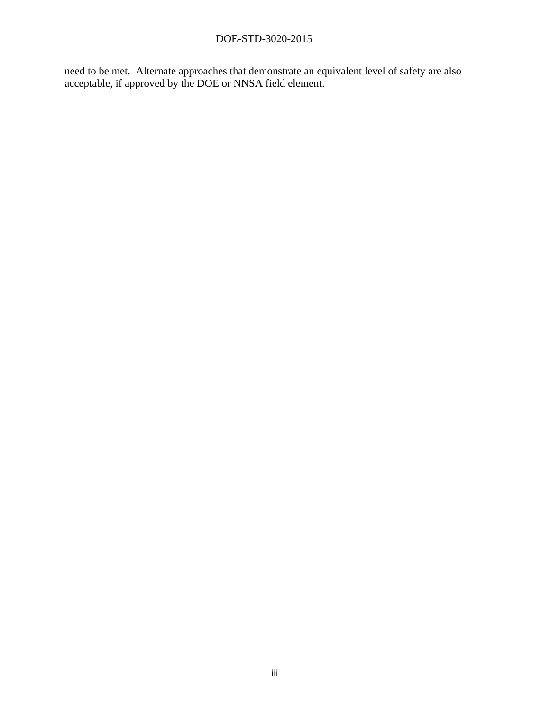need to be met. Alternate approaches that demonstrate an equivalent level of safety are also acceptable, if approved by the DOE or NNSA field element.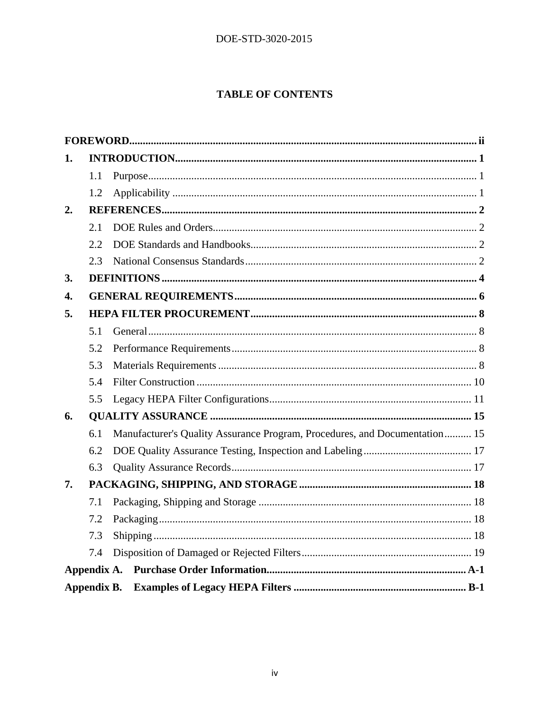## **TABLE OF CONTENTS**

| 1. |             |                                                                            |
|----|-------------|----------------------------------------------------------------------------|
|    | 1.1         |                                                                            |
|    | 1.2         |                                                                            |
| 2. |             |                                                                            |
|    | 2.1         |                                                                            |
|    | 2.2.        |                                                                            |
|    | 2.3         |                                                                            |
| 3. |             |                                                                            |
| 4. |             |                                                                            |
| 5. |             |                                                                            |
|    | 5.1         |                                                                            |
|    | 5.2         |                                                                            |
|    | 5.3         |                                                                            |
|    | 5.4         |                                                                            |
|    | 5.5         |                                                                            |
| 6. |             |                                                                            |
|    | 6.1         | Manufacturer's Quality Assurance Program, Procedures, and Documentation 15 |
|    | 6.2         |                                                                            |
|    | 6.3         |                                                                            |
| 7. |             |                                                                            |
|    | 7.1         |                                                                            |
|    | 7.2         |                                                                            |
|    | 7.3         |                                                                            |
|    | 7.4         |                                                                            |
|    |             |                                                                            |
|    | Appendix B. |                                                                            |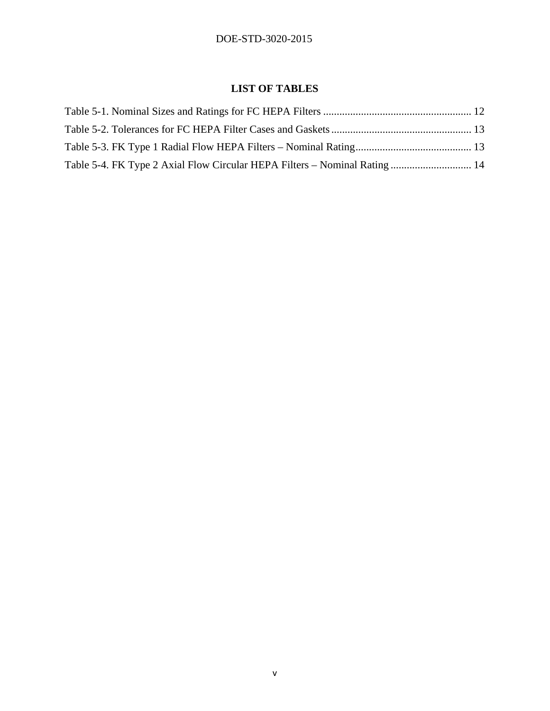## **LIST OF TABLES**

| Table 5-4. FK Type 2 Axial Flow Circular HEPA Filters – Nominal Rating  14 |  |
|----------------------------------------------------------------------------|--|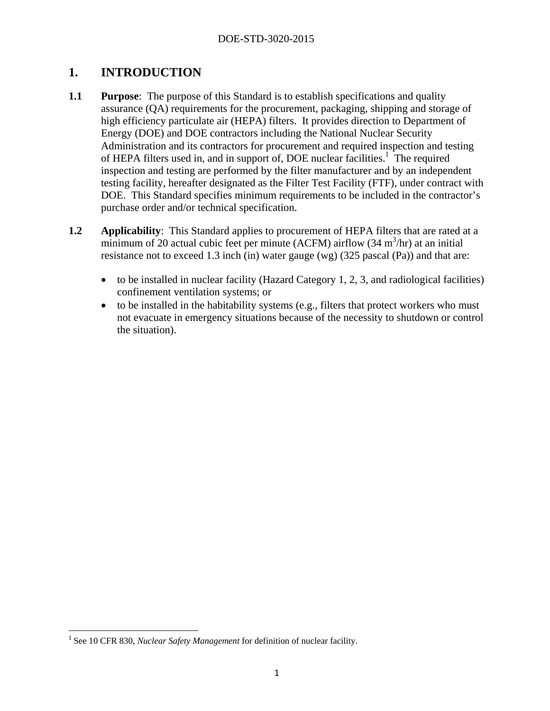# **1. INTRODUCTION**

- **1.1 Purpose**: The purpose of this Standard is to establish specifications and quality assurance (QA) requirements for the procurement, packaging, shipping and storage of high efficiency particulate air (HEPA) filters. It provides direction to Department of Energy (DOE) and DOE contractors including the National Nuclear Security Administration and its contractors for procurement and required inspection and testing of HEPA filters used in, and in support of, DOE nuclear facilities.<sup>1</sup> The required inspection and testing are performed by the filter manufacturer and by an independent testing facility, hereafter designated as the Filter Test Facility (FTF), under contract with DOE. This Standard specifies minimum requirements to be included in the contractor's purchase order and/or technical specification.
- **1.2** Applicability: This Standard applies to procurement of HEPA filters that are rated at a minimum of 20 actual cubic feet per minute (ACFM) airflow  $(34 \text{ m}^3/\text{hr})$  at an initial resistance not to exceed 1.3 inch (in) water gauge (wg) (325 pascal (Pa)) and that are:
	- to be installed in nuclear facility (Hazard Category 1, 2, 3, and radiological facilities) confinement ventilation systems; or
	- to be installed in the habitability systems (e.g., filters that protect workers who must not evacuate in emergency situations because of the necessity to shutdown or control the situation).

<sup>&</sup>lt;sup>1</sup> See 10 CFR 830, *Nuclear Safety Management* for definition of nuclear facility.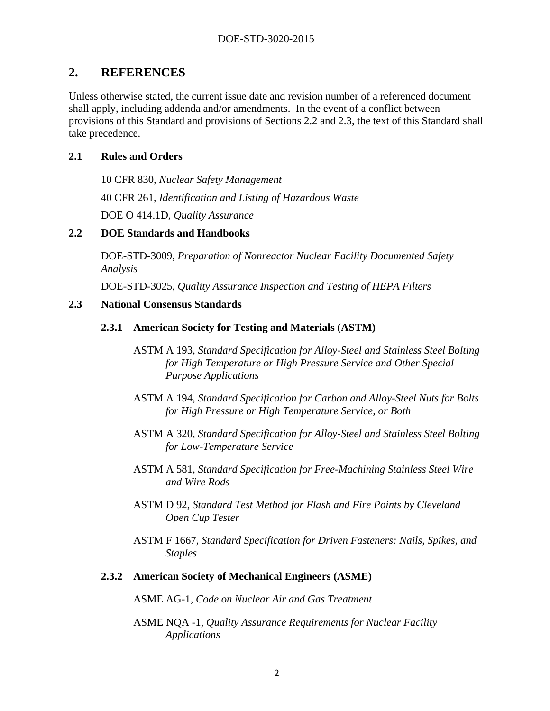## **2. REFERENCES**

Unless otherwise stated, the current issue date and revision number of a referenced document shall apply, including addenda and/or amendments. In the event of a conflict between provisions of this Standard and provisions of Sections 2.2 and 2.3, the text of this Standard shall take precedence.

#### **2.1 Rules and Orders**

10 CFR 830, *Nuclear Safety Management*

40 CFR 261, *Identification and Listing of Hazardous Waste*

DOE O 414.1D, *Quality Assurance*

#### **2.2 DOE Standards and Handbooks**

DOE-STD-3009, *Preparation of Nonreactor Nuclear Facility Documented Safety Analysis*

DOE-STD-3025, *Quality Assurance Inspection and Testing of HEPA Filters*

#### **2.3 National Consensus Standards**

#### **2.3.1 American Society for Testing and Materials (ASTM)**

- ASTM A 193, *Standard Specification for Alloy-Steel and Stainless Steel Bolting for High Temperature or High Pressure Service and Other Special Purpose Applications*
- ASTM A 194, *Standard Specification for Carbon and Alloy-Steel Nuts for Bolts for High Pressure or High Temperature Service, or Both*
- ASTM A 320, *Standard Specification for Alloy-Steel and Stainless Steel Bolting for Low-Temperature Service*
- ASTM A 581, *Standard Specification for Free-Machining Stainless Steel Wire and Wire Rods*
- ASTM D 92, *Standard Test Method for Flash and Fire Points by Cleveland Open Cup Tester*
- ASTM F 1667, *Standard Specification for Driven Fasteners: Nails, Spikes, and Staples*

#### **2.3.2 American Society of Mechanical Engineers (ASME)**

ASME AG-1, *Code on Nuclear Air and Gas Treatment*

ASME NQA -1, *Quality Assurance Requirements for Nuclear Facility Applications*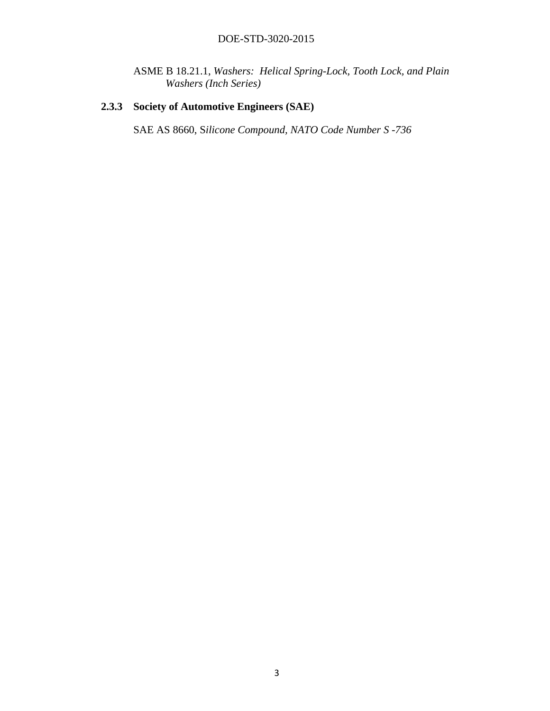ASME B 18.21.1, *Washers: Helical Spring-Lock, Tooth Lock, and Plain Washers (Inch Series)*

## **2.3.3 Society of Automotive Engineers (SAE)**

SAE AS 8660, S*ilicone Compound, NATO Code Number S -736*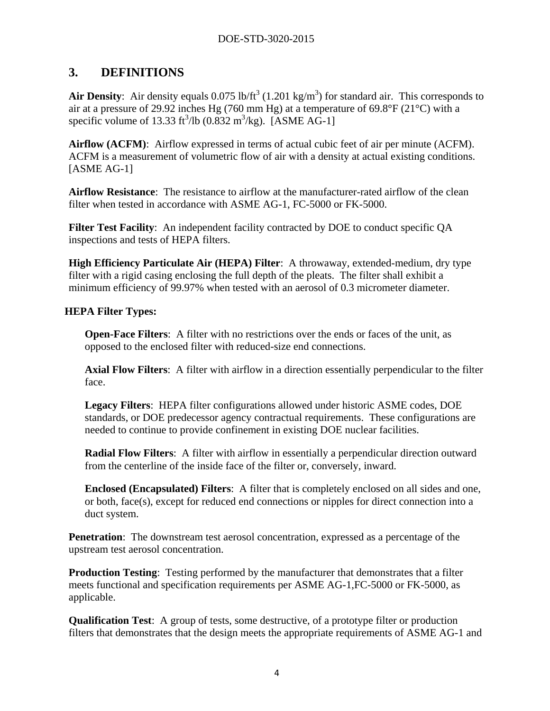# **3. DEFINITIONS**

Air Density: Air density equals  $0.075$  lb/ft<sup>3</sup>  $(1.201 \text{ kg/m}^3)$  for standard air. This corresponds to air at a pressure of 29.92 inches Hg (760 mm Hg) at a temperature of 69.8°F (21°C) with a specific volume of 13.33 ft<sup>3</sup>/lb (0.832 m<sup>3</sup>/kg). [ASME AG-1]

**Airflow (ACFM)**: Airflow expressed in terms of actual cubic feet of air per minute (ACFM). ACFM is a measurement of volumetric flow of air with a density at actual existing conditions. [ASME AG-1]

**Airflow Resistance**: The resistance to airflow at the manufacturer-rated airflow of the clean filter when tested in accordance with ASME AG-1, FC-5000 or FK-5000.

**Filter Test Facility**: An independent facility contracted by DOE to conduct specific QA inspections and tests of HEPA filters.

**High Efficiency Particulate Air (HEPA) Filter**: A throwaway, extended-medium, dry type filter with a rigid casing enclosing the full depth of the pleats. The filter shall exhibit a minimum efficiency of 99.97% when tested with an aerosol of 0.3 micrometer diameter.

## **HEPA Filter Types:**

**Open-Face Filters**: A filter with no restrictions over the ends or faces of the unit, as opposed to the enclosed filter with reduced-size end connections.

**Axial Flow Filters**: A filter with airflow in a direction essentially perpendicular to the filter face.

**Legacy Filters**: HEPA filter configurations allowed under historic ASME codes, DOE standards, or DOE predecessor agency contractual requirements. These configurations are needed to continue to provide confinement in existing DOE nuclear facilities.

**Radial Flow Filters**: A filter with airflow in essentially a perpendicular direction outward from the centerline of the inside face of the filter or, conversely, inward.

**Enclosed (Encapsulated) Filters**: A filter that is completely enclosed on all sides and one, or both, face(s), except for reduced end connections or nipples for direct connection into a duct system.

**Penetration**: The downstream test aerosol concentration, expressed as a percentage of the upstream test aerosol concentration.

**Production Testing**: Testing performed by the manufacturer that demonstrates that a filter meets functional and specification requirements per ASME AG-1,FC-5000 or FK-5000, as applicable.

**Qualification Test**: A group of tests, some destructive, of a prototype filter or production filters that demonstrates that the design meets the appropriate requirements of ASME AG-1 and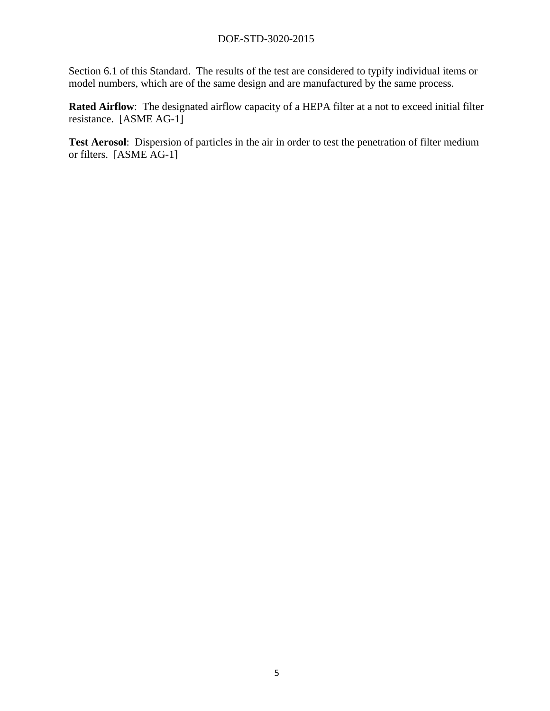Section 6.1 of this Standard. The results of the test are considered to typify individual items or model numbers, which are of the same design and are manufactured by the same process.

**Rated Airflow**: The designated airflow capacity of a HEPA filter at a not to exceed initial filter resistance. [ASME AG-1]

**Test Aerosol**: Dispersion of particles in the air in order to test the penetration of filter medium or filters. [ASME AG-1]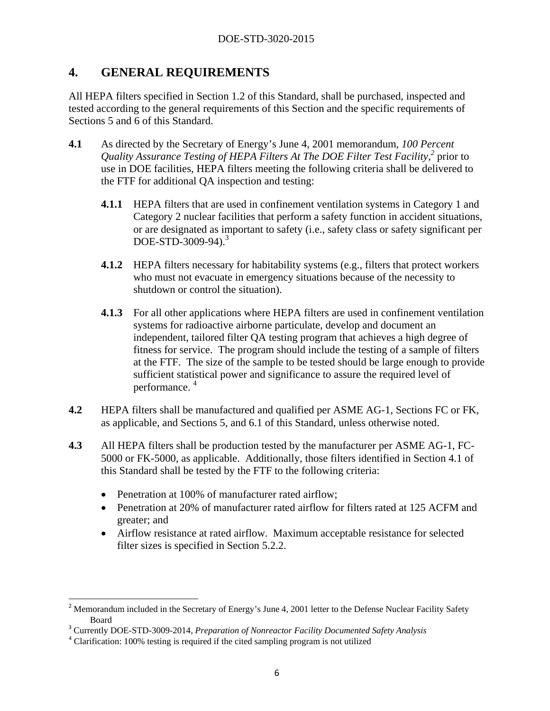## **4. GENERAL REQUIREMENTS**

All HEPA filters specified in Section 1.2 of this Standard, shall be purchased, inspected and tested according to the general requirements of this Section and the specific requirements of Sections 5 and 6 of this Standard.

- **4.1** As directed by the Secretary of Energy's June 4, 2001 memorandum, *100 Percent*  Quality Assurance Testing of HEPA Filters At The DOE Filter Test Facility,<sup>2</sup> prior to use in DOE facilities, HEPA filters meeting the following criteria shall be delivered to the FTF for additional QA inspection and testing:
	- **4.1.1** HEPA filters that are used in confinement ventilation systems in Category 1 and Category 2 nuclear facilities that perform a safety function in accident situations, or are designated as important to safety (i.e., safety class or safety significant per DOE-STD-3009-94).<sup>3</sup>
	- **4.1.2** HEPA filters necessary for habitability systems (e.g., filters that protect workers who must not evacuate in emergency situations because of the necessity to shutdown or control the situation).
	- **4.1.3** For all other applications where HEPA filters are used in confinement ventilation systems for radioactive airborne particulate, develop and document an independent, tailored filter QA testing program that achieves a high degree of fitness for service. The program should include the testing of a sample of filters at the FTF. The size of the sample to be tested should be large enough to provide sufficient statistical power and significance to assure the required level of performance. 4
- **4.2** HEPA filters shall be manufactured and qualified per ASME AG-1, Sections FC or FK, as applicable, and Sections 5, and 6.1 of this Standard, unless otherwise noted.
- **4.3** All HEPA filters shall be production tested by the manufacturer per ASME AG-1, FC-5000 or FK-5000, as applicable. Additionally, those filters identified in Section 4.1 of this Standard shall be tested by the FTF to the following criteria:
	- Penetration at 100% of manufacturer rated airflow:
	- Penetration at 20% of manufacturer rated airflow for filters rated at 125 ACFM and greater; and
	- Airflow resistance at rated airflow. Maximum acceptable resistance for selected filter sizes is specified in Section 5.2.2.

 <sup>2</sup> Memorandum included in the Secretary of Energy's June 4, 2001 letter to the Defense Nuclear Facility Safety Board

<sup>3</sup> Currently DOE-STD-3009-2014, *Preparation of Nonreactor Facility Documented Safety Analysis*

<sup>&</sup>lt;sup>4</sup> Clarification: 100% testing is required if the cited sampling program is not utilized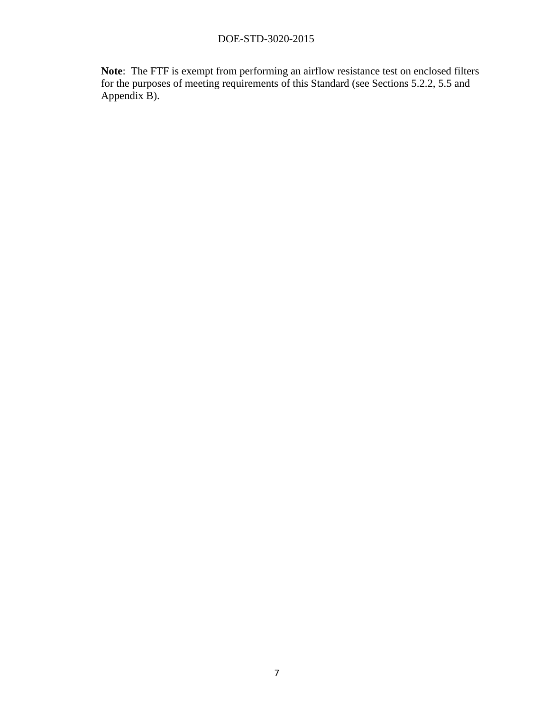**Note**: The FTF is exempt from performing an airflow resistance test on enclosed filters for the purposes of meeting requirements of this Standard (see Sections 5.2.2, 5.5 and Appendix B).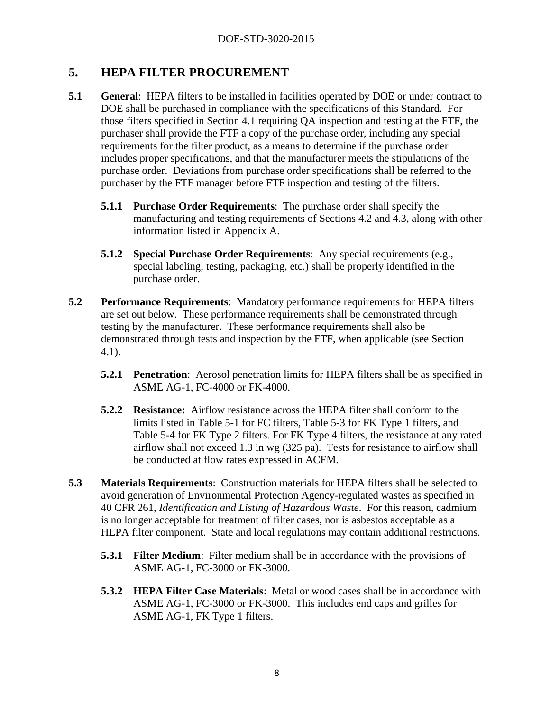## **5. HEPA FILTER PROCUREMENT**

- **5.1 General**: HEPA filters to be installed in facilities operated by DOE or under contract to DOE shall be purchased in compliance with the specifications of this Standard. For those filters specified in Section 4.1 requiring QA inspection and testing at the FTF, the purchaser shall provide the FTF a copy of the purchase order, including any special requirements for the filter product, as a means to determine if the purchase order includes proper specifications, and that the manufacturer meets the stipulations of the purchase order. Deviations from purchase order specifications shall be referred to the purchaser by the FTF manager before FTF inspection and testing of the filters.
	- **5.1.1 Purchase Order Requirements**: The purchase order shall specify the manufacturing and testing requirements of Sections 4.2 and 4.3, along with other information listed in Appendix A.
	- **5.1.2 Special Purchase Order Requirements**: Any special requirements (e.g., special labeling, testing, packaging, etc.) shall be properly identified in the purchase order.
- **5.2 Performance Requirements**: Mandatory performance requirements for HEPA filters are set out below. These performance requirements shall be demonstrated through testing by the manufacturer. These performance requirements shall also be demonstrated through tests and inspection by the FTF, when applicable (see Section 4.1).
	- **5.2.1 Penetration**: Aerosol penetration limits for HEPA filters shall be as specified in ASME AG-1, FC-4000 or FK-4000.
	- **5.2.2 Resistance:** Airflow resistance across the HEPA filter shall conform to the limits listed in Table 5-1 for FC filters, Table 5-3 for FK Type 1 filters, and Table 5-4 for FK Type 2 filters. For FK Type 4 filters, the resistance at any rated airflow shall not exceed 1.3 in wg (325 pa). Tests for resistance to airflow shall be conducted at flow rates expressed in ACFM.
- **5.3 Materials Requirements**: Construction materials for HEPA filters shall be selected to avoid generation of Environmental Protection Agency-regulated wastes as specified in 40 CFR 261, *Identification and Listing of Hazardous Waste*. For this reason, cadmium is no longer acceptable for treatment of filter cases, nor is asbestos acceptable as a HEPA filter component. State and local regulations may contain additional restrictions.
	- **5.3.1 Filter Medium**: Filter medium shall be in accordance with the provisions of ASME AG-1, FC-3000 or FK-3000.
	- **5.3.2 HEPA Filter Case Materials**: Metal or wood cases shall be in accordance with ASME AG-1, FC-3000 or FK-3000. This includes end caps and grilles for ASME AG-1, FK Type 1 filters.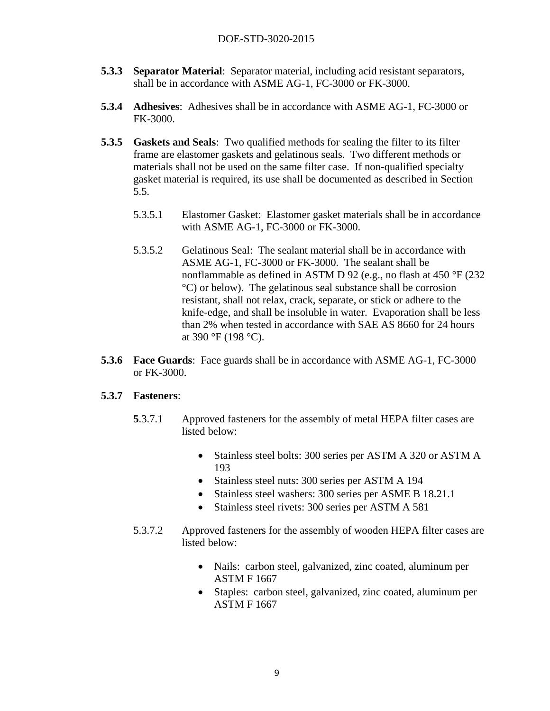- **5.3.3 Separator Material**: Separator material, including acid resistant separators, shall be in accordance with ASME AG-1, FC-3000 or FK-3000.
- **5.3.4 Adhesives**: Adhesives shall be in accordance with ASME AG-1, FC-3000 or FK-3000.
- **5.3.5 Gaskets and Seals**: Two qualified methods for sealing the filter to its filter frame are elastomer gaskets and gelatinous seals. Two different methods or materials shall not be used on the same filter case. If non-qualified specialty gasket material is required, its use shall be documented as described in Section 5.5.
	- 5.3.5.1 Elastomer Gasket: Elastomer gasket materials shall be in accordance with ASME AG-1, FC-3000 or FK-3000.
	- 5.3.5.2 Gelatinous Seal: The sealant material shall be in accordance with ASME AG-1, FC-3000 or FK-3000. The sealant shall be nonflammable as defined in ASTM D 92 (e.g., no flash at 450 °F (232 °C) or below). The gelatinous seal substance shall be corrosion resistant, shall not relax, crack, separate, or stick or adhere to the knife-edge, and shall be insoluble in water. Evaporation shall be less than 2% when tested in accordance with SAE AS 8660 for 24 hours at 390 °F (198 °C).
- **5.3.6 Face Guards**: Face guards shall be in accordance with ASME AG-1, FC-3000 or FK-3000.

#### **5.3.7 Fasteners**:

- **5**.3.7.1 Approved fasteners for the assembly of metal HEPA filter cases are listed below:
	- Stainless steel bolts: 300 series per ASTM A 320 or ASTM A 193
	- Stainless steel nuts: 300 series per ASTM A 194
	- Stainless steel washers: 300 series per ASME B 18.21.1
	- Stainless steel rivets: 300 series per ASTM A 581
- 5.3.7.2 Approved fasteners for the assembly of wooden HEPA filter cases are listed below:
	- Nails: carbon steel, galvanized, zinc coated, aluminum per ASTM F 1667
	- Staples: carbon steel, galvanized, zinc coated, aluminum per ASTM F 1667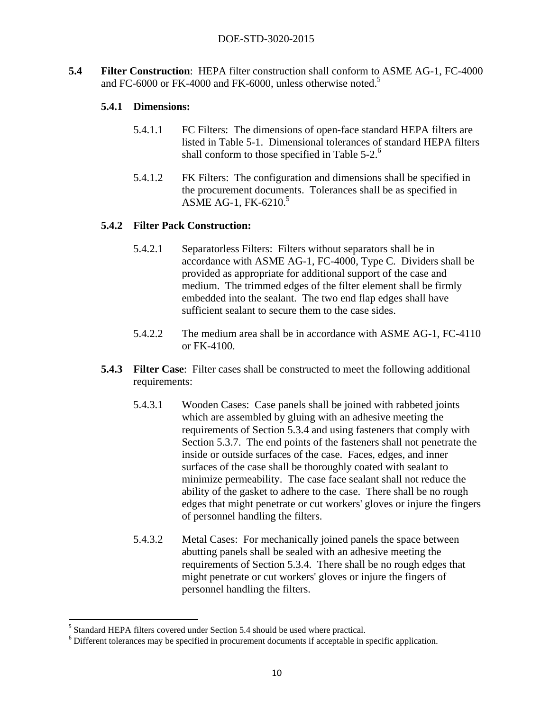**5.4 Filter Construction**: HEPA filter construction shall conform to ASME AG-1, FC-4000 and FC-6000 or FK-4000 and FK-6000, unless otherwise noted.<sup>5</sup>

#### **5.4.1 Dimensions:**

- 5.4.1.1 FC Filters: The dimensions of open-face standard HEPA filters are listed in Table 5-1. Dimensional tolerances of standard HEPA filters shall conform to those specified in Table  $5-2$ .<sup>6</sup>
- 5.4.1.2 FK Filters: The configuration and dimensions shall be specified in the procurement documents. Tolerances shall be as specified in ASME AG-1, FK-6210. $5$

#### **5.4.2 Filter Pack Construction:**

- 5.4.2.1 Separatorless Filters: Filters without separators shall be in accordance with ASME AG-1, FC-4000, Type C. Dividers shall be provided as appropriate for additional support of the case and medium. The trimmed edges of the filter element shall be firmly embedded into the sealant. The two end flap edges shall have sufficient sealant to secure them to the case sides.
- 5.4.2.2 The medium area shall be in accordance with ASME AG-1, FC-4110 or FK-4100.
- **5.4.3 Filter Case:** Filter cases shall be constructed to meet the following additional requirements:
	- 5.4.3.1 Wooden Cases: Case panels shall be joined with rabbeted joints which are assembled by gluing with an adhesive meeting the requirements of Section 5.3.4 and using fasteners that comply with Section 5.3.7. The end points of the fasteners shall not penetrate the inside or outside surfaces of the case. Faces, edges, and inner surfaces of the case shall be thoroughly coated with sealant to minimize permeability. The case face sealant shall not reduce the ability of the gasket to adhere to the case. There shall be no rough edges that might penetrate or cut workers' gloves or injure the fingers of personnel handling the filters.
	- 5.4.3.2 Metal Cases: For mechanically joined panels the space between abutting panels shall be sealed with an adhesive meeting the requirements of Section 5.3.4. There shall be no rough edges that might penetrate or cut workers' gloves or injure the fingers of personnel handling the filters.

 <sup>5</sup> Standard HEPA filters covered under Section 5.4 should be used where practical.

<sup>&</sup>lt;sup>6</sup> Different tolerances may be specified in procurement documents if acceptable in specific application.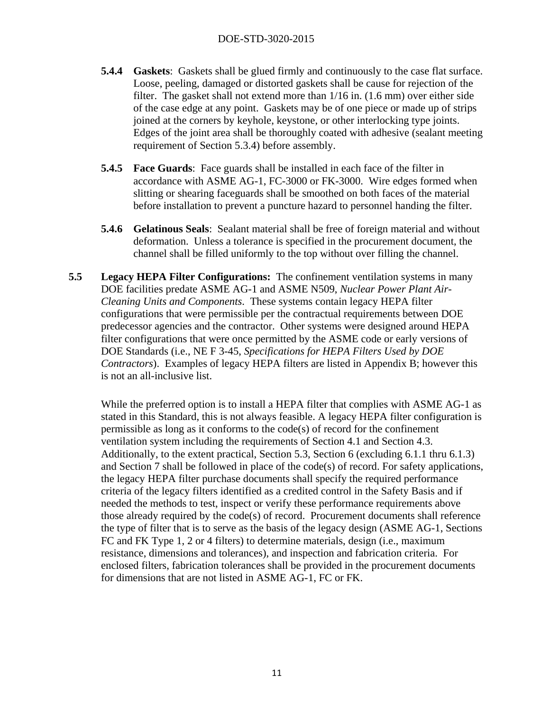- **5.4.4 Gaskets**: Gaskets shall be glued firmly and continuously to the case flat surface. Loose, peeling, damaged or distorted gaskets shall be cause for rejection of the filter. The gasket shall not extend more than 1/16 in. (1.6 mm) over either side of the case edge at any point. Gaskets may be of one piece or made up of strips joined at the corners by keyhole, keystone, or other interlocking type joints. Edges of the joint area shall be thoroughly coated with adhesive (sealant meeting requirement of Section 5.3.4) before assembly.
- **5.4.5 Face Guards**: Face guards shall be installed in each face of the filter in accordance with ASME AG-1, FC-3000 or FK-3000. Wire edges formed when slitting or shearing faceguards shall be smoothed on both faces of the material before installation to prevent a puncture hazard to personnel handing the filter.
- **5.4.6 Gelatinous Seals**: Sealant material shall be free of foreign material and without deformation. Unless a tolerance is specified in the procurement document, the channel shall be filled uniformly to the top without over filling the channel.
- **5.5 Legacy HEPA Filter Configurations:** The confinement ventilation systems in many DOE facilities predate ASME AG-1 and ASME N509, *Nuclear Power Plant Air-Cleaning Units and Components*. These systems contain legacy HEPA filter configurations that were permissible per the contractual requirements between DOE predecessor agencies and the contractor. Other systems were designed around HEPA filter configurations that were once permitted by the ASME code or early versions of DOE Standards (i.e., NE F 3-45, *Specifications for HEPA Filters Used by DOE Contractors*). Examples of legacy HEPA filters are listed in Appendix B; however this is not an all-inclusive list.

While the preferred option is to install a HEPA filter that complies with ASME AG-1 as stated in this Standard, this is not always feasible. A legacy HEPA filter configuration is permissible as long as it conforms to the code(s) of record for the confinement ventilation system including the requirements of Section 4.1 and Section 4.3. Additionally, to the extent practical, Section 5.3, Section 6 (excluding 6.1.1 thru 6.1.3) and Section 7 shall be followed in place of the code(s) of record. For safety applications, the legacy HEPA filter purchase documents shall specify the required performance criteria of the legacy filters identified as a credited control in the Safety Basis and if needed the methods to test, inspect or verify these performance requirements above those already required by the code(s) of record. Procurement documents shall reference the type of filter that is to serve as the basis of the legacy design (ASME AG-1, Sections FC and FK Type 1, 2 or 4 filters) to determine materials, design (i.e., maximum resistance, dimensions and tolerances), and inspection and fabrication criteria. For enclosed filters, fabrication tolerances shall be provided in the procurement documents for dimensions that are not listed in ASME AG-1, FC or FK.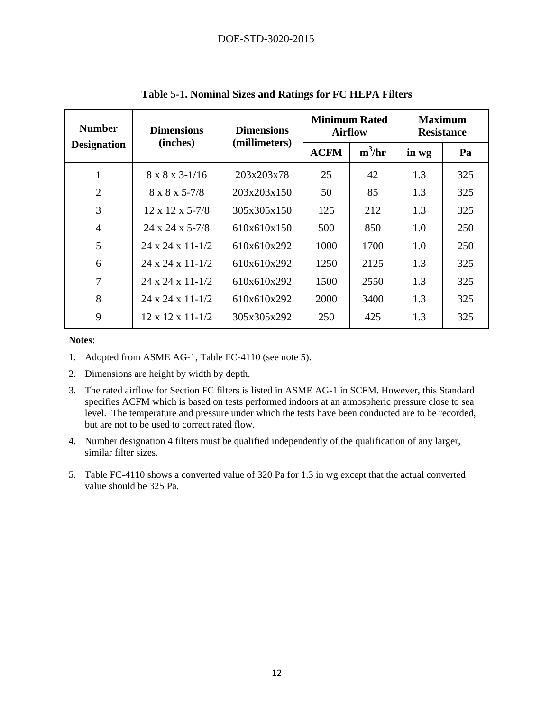| <b>Number</b>      | <b>Dimensions</b><br>(inches)  | <b>Dimensions</b><br>(millimeters) | <b>Minimum Rated</b><br><b>Airflow</b> |          | <b>Maximum</b><br><b>Resistance</b> |     |
|--------------------|--------------------------------|------------------------------------|----------------------------------------|----------|-------------------------------------|-----|
| <b>Designation</b> |                                |                                    | <b>ACFM</b>                            | $m^3/hr$ | in wg                               | Pa  |
| 1                  | 8 x 8 x 3-1/16                 | 203x203x78                         | 25                                     | 42       | 1.3                                 | 325 |
| $\overline{2}$     | $8 \times 8 \times 5 - 7/8$    | 203x203x150                        | 50                                     | 85       | 1.3                                 | 325 |
| 3                  | $12 \times 12 \times 5 - 7/8$  | 305x305x150                        | 125                                    | 212      | 1.3                                 | 325 |
| $\overline{4}$     | $24 \times 24 \times 5 - 7/8$  | 610x610x150                        | 500                                    | 850      | 1.0                                 | 250 |
| 5                  | 24 x 24 x 11-1/2               | 610x610x292                        | 1000                                   | 1700     | 1.0                                 | 250 |
| 6                  | 24 x 24 x 11-1/2               | 610x610x292                        | 1250                                   | 2125     | 1.3                                 | 325 |
| 7                  | 24 x 24 x 11-1/2               | 610x610x292                        | 1500                                   | 2550     | 1.3                                 | 325 |
| 8                  | 24 x 24 x 11-1/2               | 610x610x292                        | 2000                                   | 3400     | 1.3                                 | 325 |
| 9                  | $12 \times 12 \times 11 - 1/2$ | 305x305x292                        | 250                                    | 425      | 1.3                                 | 325 |

**Table** 5**-**1**. Nominal Sizes and Ratings for FC HEPA Filters** 

**Notes**:

- 1. Adopted from ASME AG-1, Table FC-4110 (see note 5).
- 2. Dimensions are height by width by depth.
- 3. The rated airflow for Section FC filters is listed in ASME AG-1 in SCFM. However, this Standard specifies ACFM which is based on tests performed indoors at an atmospheric pressure close to sea level. The temperature and pressure under which the tests have been conducted are to be recorded, but are not to be used to correct rated flow.
- 4. Number designation 4 filters must be qualified independently of the qualification of any larger, similar filter sizes.
- 5. Table FC-4110 shows a converted value of 320 Pa for 1.3 in wg except that the actual converted value should be 325 Pa.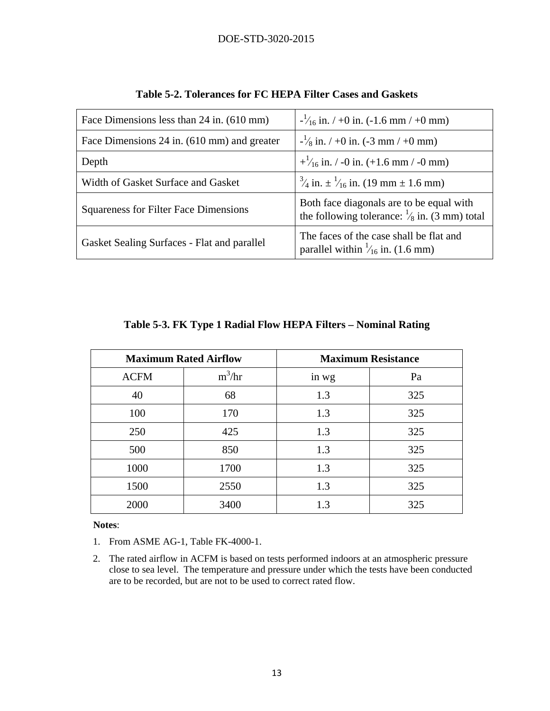| Face Dimensions less than 24 in. (610 mm)    | $\frac{1}{16}$ in. / +0 in. (-1.6 mm / +0 mm)                                                       |  |  |
|----------------------------------------------|-----------------------------------------------------------------------------------------------------|--|--|
| Face Dimensions 24 in. (610 mm) and greater  | $-\frac{1}{8}$ in. $/ +0$ in. (-3 mm $/ +0$ mm)                                                     |  |  |
| Depth                                        | $+\frac{1}{16}$ in. / -0 in. (+1.6 mm / -0 mm)                                                      |  |  |
| Width of Gasket Surface and Gasket           | $\frac{3}{4}$ in. $\pm \frac{1}{16}$ in. (19 mm $\pm$ 1.6 mm)                                       |  |  |
| <b>Squareness for Filter Face Dimensions</b> | Both face diagonals are to be equal with<br>the following tolerance: $\frac{1}{8}$ in. (3 mm) total |  |  |
| Gasket Sealing Surfaces - Flat and parallel  | The faces of the case shall be flat and<br>parallel within $\frac{1}{16}$ in. (1.6 mm)              |  |  |

|  | Table 5-2. Tolerances for FC HEPA Filter Cases and Gaskets |  |
|--|------------------------------------------------------------|--|
|  |                                                            |  |

|  | Table 5-3. FK Type 1 Radial Flow HEPA Filters - Nominal Rating |
|--|----------------------------------------------------------------|
|  |                                                                |

| <b>Maximum Rated Airflow</b> |          | <b>Maximum Resistance</b> |     |  |
|------------------------------|----------|---------------------------|-----|--|
| <b>ACFM</b>                  | $m^3/hr$ | in wg                     | Pa  |  |
| 40                           | 68       | 1.3                       | 325 |  |
| 100                          | 170      | 1.3                       | 325 |  |
| 250                          | 425      | 1.3                       | 325 |  |
| 500                          | 850      | 1.3                       | 325 |  |
| 1000                         | 1700     | 1.3                       | 325 |  |
| 1500                         | 2550     | 1.3                       | 325 |  |
| 2000                         | 3400     | 1.3                       | 325 |  |

**Notes**:

1. From ASME AG-1, Table FK-4000-1.

2. The rated airflow in ACFM is based on tests performed indoors at an atmospheric pressure close to sea level. The temperature and pressure under which the tests have been conducted are to be recorded, but are not to be used to correct rated flow.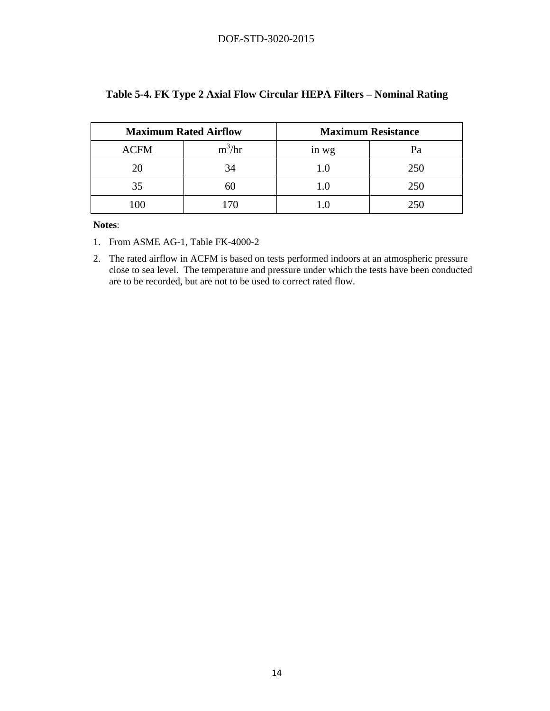|             | <b>Maximum Rated Airflow</b> | <b>Maximum Resistance</b> |     |  |
|-------------|------------------------------|---------------------------|-----|--|
| <b>ACFM</b> | $\frac{3}{h}$<br>m           | in wg                     | Pa  |  |
| 20          | 34                           | 1.0                       | 250 |  |
| 35          | 60                           | 1.0                       | 250 |  |
|             | 70                           |                           | 250 |  |

#### **Table 5-4. FK Type 2 Axial Flow Circular HEPA Filters – Nominal Rating**

**Notes**:

- 1. From ASME AG-1, Table FK-4000-2
- 2. The rated airflow in ACFM is based on tests performed indoors at an atmospheric pressure close to sea level. The temperature and pressure under which the tests have been conducted are to be recorded, but are not to be used to correct rated flow.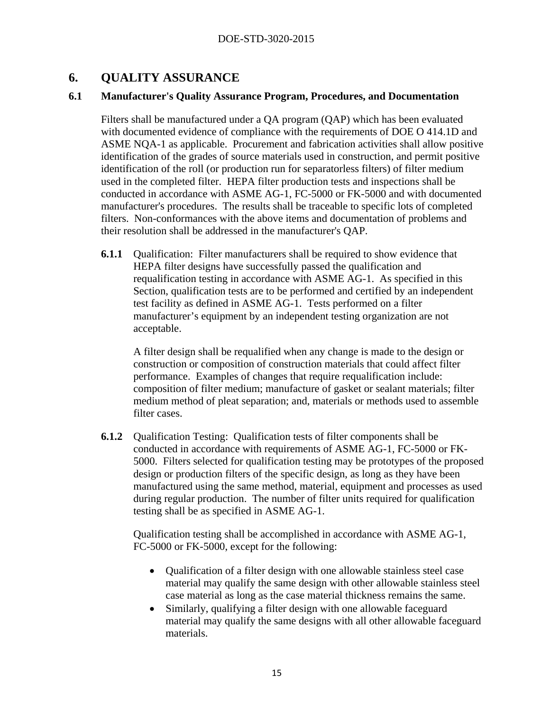## **6. QUALITY ASSURANCE**

#### **6.1 Manufacturer's Quality Assurance Program, Procedures, and Documentation**

Filters shall be manufactured under a QA program (QAP) which has been evaluated with documented evidence of compliance with the requirements of DOE O 414.1D and ASME NQA-1 as applicable. Procurement and fabrication activities shall allow positive identification of the grades of source materials used in construction, and permit positive identification of the roll (or production run for separatorless filters) of filter medium used in the completed filter. HEPA filter production tests and inspections shall be conducted in accordance with ASME AG-1, FC-5000 or FK-5000 and with documented manufacturer's procedures. The results shall be traceable to specific lots of completed filters. Non-conformances with the above items and documentation of problems and their resolution shall be addressed in the manufacturer's QAP.

**6.1.1** Qualification: Filter manufacturers shall be required to show evidence that HEPA filter designs have successfully passed the qualification and requalification testing in accordance with ASME AG-1. As specified in this Section, qualification tests are to be performed and certified by an independent test facility as defined in ASME AG-1. Tests performed on a filter manufacturer's equipment by an independent testing organization are not acceptable.

A filter design shall be requalified when any change is made to the design or construction or composition of construction materials that could affect filter performance. Examples of changes that require requalification include: composition of filter medium; manufacture of gasket or sealant materials; filter medium method of pleat separation; and, materials or methods used to assemble filter cases.

**6.1.2** Qualification Testing: Qualification tests of filter components shall be conducted in accordance with requirements of ASME AG-1, FC-5000 or FK-5000. Filters selected for qualification testing may be prototypes of the proposed design or production filters of the specific design, as long as they have been manufactured using the same method, material, equipment and processes as used during regular production. The number of filter units required for qualification testing shall be as specified in ASME AG-1.

Qualification testing shall be accomplished in accordance with ASME AG-1, FC-5000 or FK-5000, except for the following:

- Qualification of a filter design with one allowable stainless steel case material may qualify the same design with other allowable stainless steel case material as long as the case material thickness remains the same.
- Similarly, qualifying a filter design with one allowable faceguard material may qualify the same designs with all other allowable faceguard materials.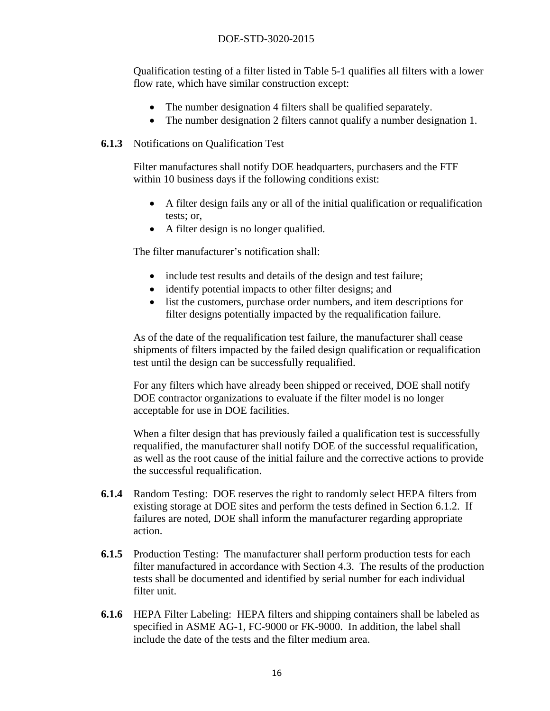Qualification testing of a filter listed in Table 5-1 qualifies all filters with a lower flow rate, which have similar construction except:

- The number designation 4 filters shall be qualified separately.
- The number designation 2 filters cannot qualify a number designation 1.

#### **6.1.3** Notifications on Qualification Test

Filter manufactures shall notify DOE headquarters, purchasers and the FTF within 10 business days if the following conditions exist:

- A filter design fails any or all of the initial qualification or requalification tests; or,
- A filter design is no longer qualified.

The filter manufacturer's notification shall:

- include test results and details of the design and test failure;
- identify potential impacts to other filter designs; and
- list the customers, purchase order numbers, and item descriptions for filter designs potentially impacted by the requalification failure.

As of the date of the requalification test failure, the manufacturer shall cease shipments of filters impacted by the failed design qualification or requalification test until the design can be successfully requalified.

For any filters which have already been shipped or received, DOE shall notify DOE contractor organizations to evaluate if the filter model is no longer acceptable for use in DOE facilities.

When a filter design that has previously failed a qualification test is successfully requalified, the manufacturer shall notify DOE of the successful requalification, as well as the root cause of the initial failure and the corrective actions to provide the successful requalification.

- **6.1.4** Random Testing: DOE reserves the right to randomly select HEPA filters from existing storage at DOE sites and perform the tests defined in Section 6.1.2. If failures are noted, DOE shall inform the manufacturer regarding appropriate action.
- **6.1.5** Production Testing: The manufacturer shall perform production tests for each filter manufactured in accordance with Section 4.3. The results of the production tests shall be documented and identified by serial number for each individual filter unit.
- **6.1.6** HEPA Filter Labeling: HEPA filters and shipping containers shall be labeled as specified in ASME AG-1, FC-9000 or FK-9000. In addition, the label shall include the date of the tests and the filter medium area.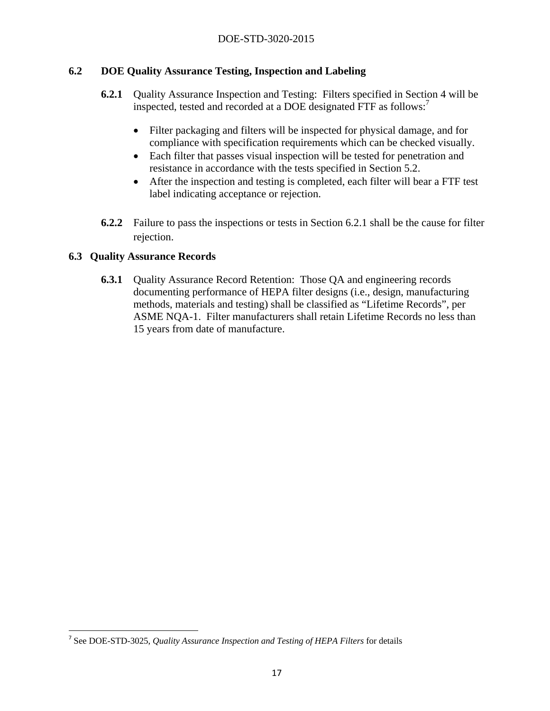#### **6.2 DOE Quality Assurance Testing, Inspection and Labeling**

- **6.2.1** Quality Assurance Inspection and Testing: Filters specified in Section 4 will be inspected, tested and recorded at a DOE designated FTF as follows:<sup>7</sup>
	- Filter packaging and filters will be inspected for physical damage, and for compliance with specification requirements which can be checked visually.
	- Each filter that passes visual inspection will be tested for penetration and resistance in accordance with the tests specified in Section 5.2.
	- After the inspection and testing is completed, each filter will bear a FTF test label indicating acceptance or rejection.
- **6.2.2** Failure to pass the inspections or tests in Section 6.2.1 shall be the cause for filter rejection.

#### **6.3 Quality Assurance Records**

**6.3.1** Quality Assurance Record Retention: Those QA and engineering records documenting performance of HEPA filter designs (i.e., design, manufacturing methods, materials and testing) shall be classified as "Lifetime Records", per ASME NQA-1. Filter manufacturers shall retain Lifetime Records no less than 15 years from date of manufacture.

<sup>7</sup> See DOE-STD-3025, *Quality Assurance Inspection and Testing of HEPA Filters* for details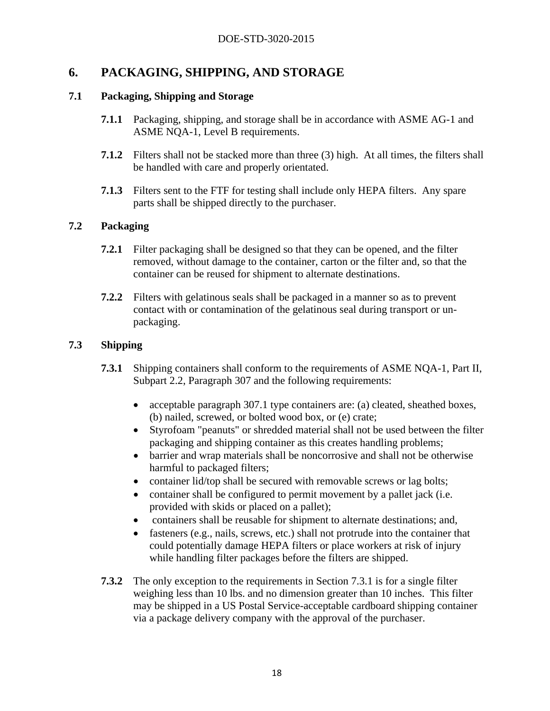## **6. PACKAGING, SHIPPING, AND STORAGE**

#### **7.1 Packaging, Shipping and Storage**

- **7.1.1** Packaging, shipping, and storage shall be in accordance with ASME AG-1 and ASME NQA-1, Level B requirements.
- **7.1.2** Filters shall not be stacked more than three (3) high. At all times, the filters shall be handled with care and properly orientated.
- **7.1.3** Filters sent to the FTF for testing shall include only HEPA filters. Any spare parts shall be shipped directly to the purchaser.

#### **7.2 Packaging**

- **7.2.1** Filter packaging shall be designed so that they can be opened, and the filter removed, without damage to the container, carton or the filter and, so that the container can be reused for shipment to alternate destinations.
- **7.2.2** Filters with gelatinous seals shall be packaged in a manner so as to prevent contact with or contamination of the gelatinous seal during transport or unpackaging.

#### **7.3 Shipping**

- **7.3.1** Shipping containers shall conform to the requirements of ASME NQA-1, Part II, Subpart 2.2, Paragraph 307 and the following requirements:
	- acceptable paragraph 307.1 type containers are: (a) cleated, sheathed boxes, (b) nailed, screwed, or bolted wood box, or (e) crate;
	- Styrofoam "peanuts" or shredded material shall not be used between the filter packaging and shipping container as this creates handling problems;
	- barrier and wrap materials shall be noncorrosive and shall not be otherwise harmful to packaged filters;
	- container lid/top shall be secured with removable screws or lag bolts;
	- container shall be configured to permit movement by a pallet jack (i.e. provided with skids or placed on a pallet);
	- containers shall be reusable for shipment to alternate destinations; and,
	- fasteners (e.g., nails, screws, etc.) shall not protrude into the container that could potentially damage HEPA filters or place workers at risk of injury while handling filter packages before the filters are shipped.
- **7.3.2** The only exception to the requirements in Section 7.3.1 is for a single filter weighing less than 10 lbs. and no dimension greater than 10 inches. This filter may be shipped in a US Postal Service-acceptable cardboard shipping container via a package delivery company with the approval of the purchaser.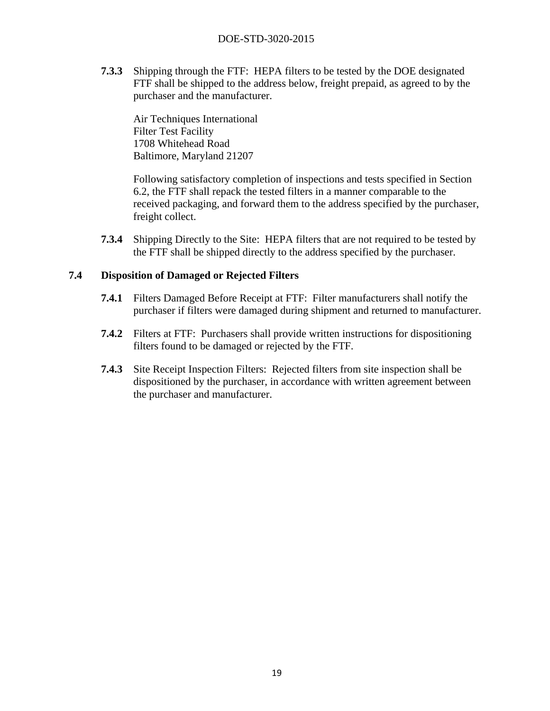**7.3.3** Shipping through the FTF: HEPA filters to be tested by the DOE designated FTF shall be shipped to the address below, freight prepaid, as agreed to by the purchaser and the manufacturer.

Air Techniques International Filter Test Facility 1708 Whitehead Road Baltimore, Maryland 21207

Following satisfactory completion of inspections and tests specified in Section 6.2, the FTF shall repack the tested filters in a manner comparable to the received packaging, and forward them to the address specified by the purchaser, freight collect.

**7.3.4** Shipping Directly to the Site: HEPA filters that are not required to be tested by the FTF shall be shipped directly to the address specified by the purchaser.

#### **7.4 Disposition of Damaged or Rejected Filters**

- **7.4.1** Filters Damaged Before Receipt at FTF: Filter manufacturers shall notify the purchaser if filters were damaged during shipment and returned to manufacturer.
- **7.4.2** Filters at FTF: Purchasers shall provide written instructions for dispositioning filters found to be damaged or rejected by the FTF.
- **7.4.3** Site Receipt Inspection Filters: Rejected filters from site inspection shall be dispositioned by the purchaser, in accordance with written agreement between the purchaser and manufacturer.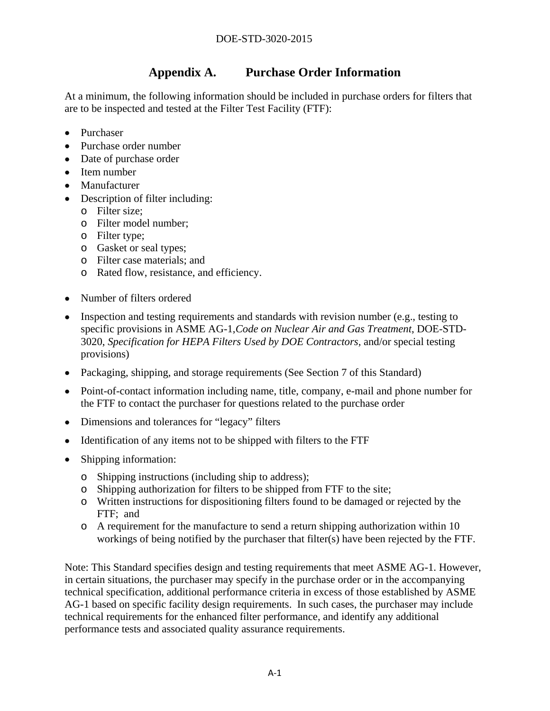# **Appendix A. Purchase Order Information**

At a minimum, the following information should be included in purchase orders for filters that are to be inspected and tested at the Filter Test Facility (FTF):

- Purchaser
- Purchase order number
- Date of purchase order
- Item number
- Manufacturer
- Description of filter including:
	- o Filter size;
	- o Filter model number;
	- o Filter type;
	- o Gasket or seal types;
	- o Filter case materials; and
	- o Rated flow, resistance, and efficiency.
- Number of filters ordered
- $\bullet$  Inspection and testing requirements and standards with revision number (e.g., testing to specific provisions in ASME AG-1,*Code on Nuclear Air and Gas Treatment*, DOE-STD-3020, *Specification for HEPA Filters Used by DOE Contractors,* and/or special testing provisions)
- Packaging, shipping, and storage requirements (See Section 7 of this Standard)
- Point-of-contact information including name, title, company, e-mail and phone number for the FTF to contact the purchaser for questions related to the purchase order
- Dimensions and tolerances for "legacy" filters
- Identification of any items not to be shipped with filters to the FTF
- Shipping information:
	- o Shipping instructions (including ship to address);
	- o Shipping authorization for filters to be shipped from FTF to the site;
	- o Written instructions for dispositioning filters found to be damaged or rejected by the FTF; and
	- o A requirement for the manufacture to send a return shipping authorization within 10 workings of being notified by the purchaser that filter(s) have been rejected by the FTF.

Note: This Standard specifies design and testing requirements that meet ASME AG-1. However, in certain situations, the purchaser may specify in the purchase order or in the accompanying technical specification, additional performance criteria in excess of those established by ASME AG-1 based on specific facility design requirements. In such cases, the purchaser may include technical requirements for the enhanced filter performance, and identify any additional performance tests and associated quality assurance requirements.